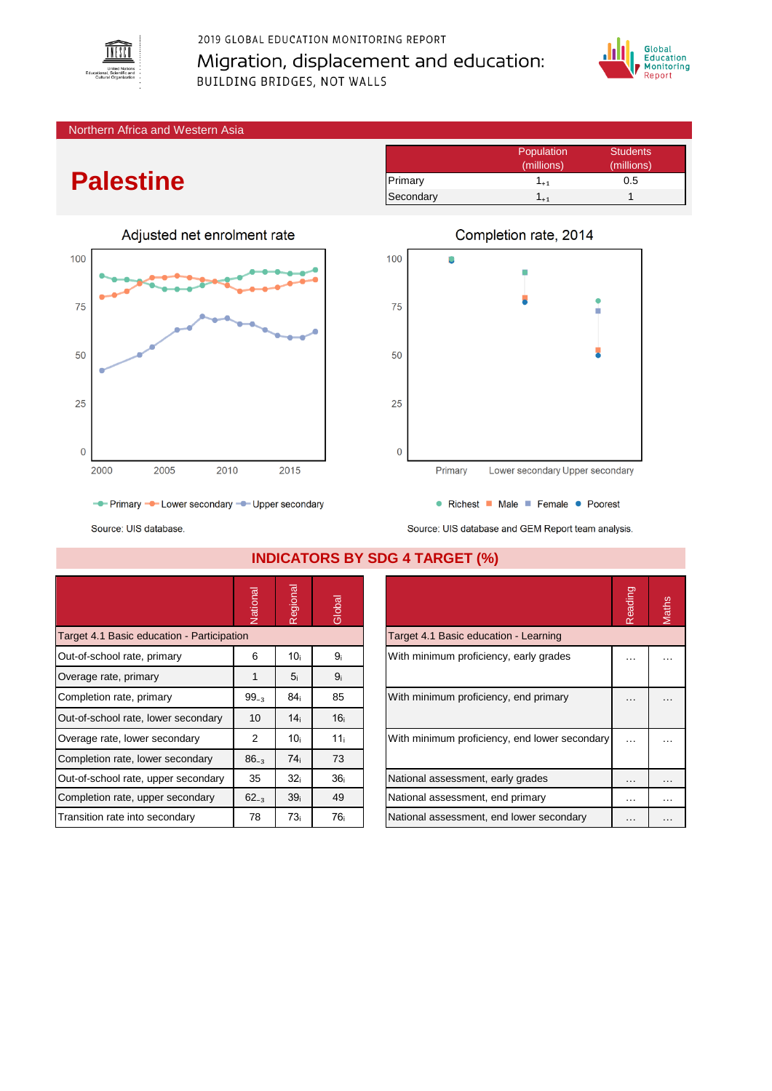

## 2019 GLOBAL EDUCATION MONITORING REPORT Migration, displacement and education: **BUILDING BRIDGES, NOT WALLS**



#### Northern Africa and Western Asia

# **Palestine**



Population Students (millions) (millions) Primary 1<sub>+1</sub> 0.5 Secondary  $1_{+1}$  1



● Richest ■ Male ■ Female ● Poorest

- Primary - Lower secondary - Upper secondary

Source: UIS database.



|                                            | Vational  | legional<br>$\tilde{r}$ | Global          |                                               | Reading  | Maths |
|--------------------------------------------|-----------|-------------------------|-----------------|-----------------------------------------------|----------|-------|
| Target 4.1 Basic education - Participation |           |                         |                 | Target 4.1 Basic education - Learning         |          |       |
| Out-of-school rate, primary                | 6         | 10i                     | 9ì              | With minimum proficiency, early grades        |          |       |
| Overage rate, primary                      |           | 5 <sub>i</sub>          | 9 <sub>i</sub>  |                                               |          |       |
| Completion rate, primary                   | $99_{-3}$ | 84i                     | 85              | With minimum proficiency, end primary         |          |       |
| Out-of-school rate, lower secondary        | 10        | 14 <sub>i</sub>         | 16 <sub>i</sub> |                                               |          |       |
| Overage rate, lower secondary              | 2         | 10 <sub>i</sub>         | 11 <sub>i</sub> | With minimum proficiency, end lower secondary |          |       |
| Completion rate, lower secondary           | $86_{-3}$ | 74 <sub>i</sub>         | 73              |                                               |          |       |
| Out-of-school rate, upper secondary        | 35        | 32 <sub>i</sub>         | 36 <sub>i</sub> | National assessment, early grades             | $\cdots$ |       |
| Completion rate, upper secondary           | $62_{-3}$ | 39 <sub>i</sub>         | 49              | National assessment, end primary              | .        |       |
| Transition rate into secondary             | 78        | 73 <sub>i</sub>         | 76 <sub>i</sub> | National assessment, end lower secondary      | $\cdots$ |       |

#### **INDICATORS BY SDG 4 TARGET (%)**

| Reading | <b>Aaths</b> |
|---------|--------------|
|         |              |
|         |              |
|         |              |
|         |              |
|         |              |
|         |              |
|         |              |
|         |              |

## Completion rate, 2014